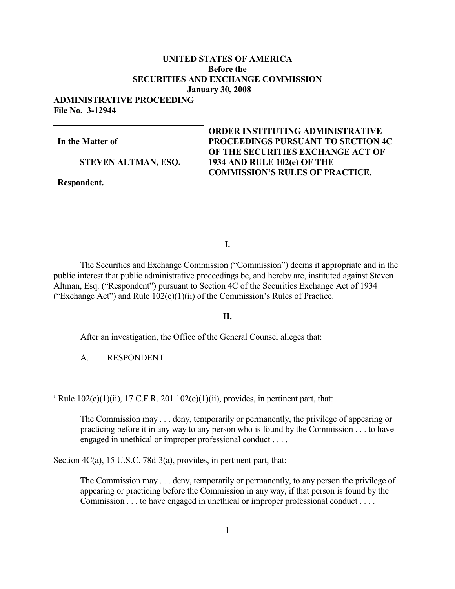### **UNITED STATES OF AMERICA Before the SECURITIES AND EXCHANGE COMMISSION January 30, 2008**

# **ADMINISTRATIVE PROCEEDING**

**File No. 3-12944** 

**In the Matter of**

 **STEVEN ALTMAN, ESQ.** 

**Respondent.** 

**ORDER INSTITUTING ADMINISTRATIVE PROCEEDINGS PURSUANT TO SECTION 4C OF THE SECURITIES EXCHANGE ACT OF 1934 AND RULE 102(e) OF THE COMMISSION'S RULES OF PRACTICE.** 

**I.** 

The Securities and Exchange Commission ("Commission") deems it appropriate and in the public interest that public administrative proceedings be, and hereby are, instituted against Steven Altman, Esq. ("Respondent") pursuant to Section 4C of the Securities Exchange Act of 1934 ("Exchange Act") and Rule  $102(e)(1)(ii)$  of the Commission's Rules of Practice.<sup>1</sup>

#### **II.**

After an investigation, the Office of the General Counsel alleges that:

A. RESPONDENT

<sup>1</sup> Rule  $102(e)(1)(ii)$ ,  $17$  C.F.R.  $201.102(e)(1)(ii)$ , provides, in pertinent part, that:

The Commission may . . . deny, temporarily or permanently, the privilege of appearing or practicing before it in any way to any person who is found by the Commission . . . to have engaged in unethical or improper professional conduct . . . .

Section  $4C(a)$ , 15 U.S.C. 78d-3(a), provides, in pertinent part, that:

The Commission may . . . deny, temporarily or permanently, to any person the privilege of appearing or practicing before the Commission in any way, if that person is found by the Commission . . . to have engaged in unethical or improper professional conduct . . . .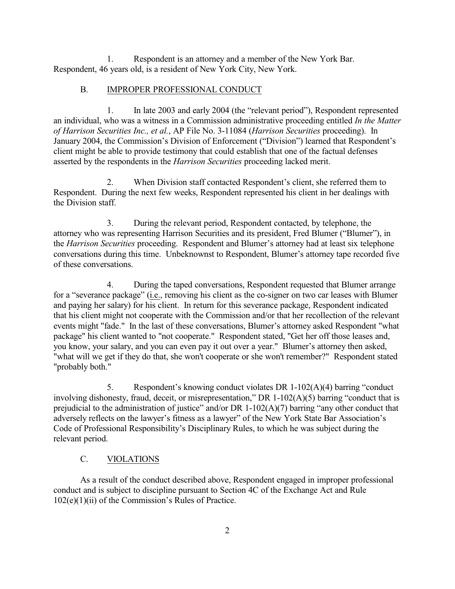1. Respondent is an attorney and a member of the New York Bar. Respondent, 46 years old, is a resident of New York City, New York.

## B. IMPROPER PROFESSIONAL CONDUCT

1. In late 2003 and early 2004 (the "relevant period"), Respondent represented an individual, who was a witness in a Commission administrative proceeding entitled *In the Matter of Harrison Securities Inc., et al.*, AP File No. 3-11084 (*Harrison Securities* proceeding). In January 2004, the Commission's Division of Enforcement ("Division") learned that Respondent's client might be able to provide testimony that could establish that one of the factual defenses asserted by the respondents in the *Harrison Securities* proceeding lacked merit.

2. When Division staff contacted Respondent's client, she referred them to Respondent. During the next few weeks, Respondent represented his client in her dealings with the Division staff.

3. During the relevant period, Respondent contacted, by telephone, the attorney who was representing Harrison Securities and its president, Fred Blumer ("Blumer"), in the *Harrison Securities* proceeding. Respondent and Blumer's attorney had at least six telephone conversations during this time. Unbeknownst to Respondent, Blumer's attorney tape recorded five of these conversations.

4. During the taped conversations, Respondent requested that Blumer arrange for a "severance package" (i.e., removing his client as the co-signer on two car leases with Blumer and paying her salary) for his client. In return for this severance package, Respondent indicated that his client might not cooperate with the Commission and/or that her recollection of the relevant events might "fade." In the last of these conversations, Blumer's attorney asked Respondent "what package" his client wanted to "not cooperate." Respondent stated, "Get her off those leases and, you know, your salary, and you can even pay it out over a year." Blumer's attorney then asked, "what will we get if they do that, she won't cooperate or she won't remember?" Respondent stated "probably both."

5. Respondent's knowing conduct violates DR 1-102(A)(4) barring "conduct involving dishonesty, fraud, deceit, or misrepresentation," DR 1-102(A)(5) barring "conduct that is prejudicial to the administration of justice" and/or DR 1-102(A)(7) barring "any other conduct that adversely reflects on the lawyer's fitness as a lawyer" of the New York State Bar Association's Code of Professional Responsibility's Disciplinary Rules, to which he was subject during the relevant period.

# C. VIOLATIONS

As a result of the conduct described above, Respondent engaged in improper professional conduct and is subject to discipline pursuant to Section 4C of the Exchange Act and Rule 102(e)(1)(ii) of the Commission's Rules of Practice.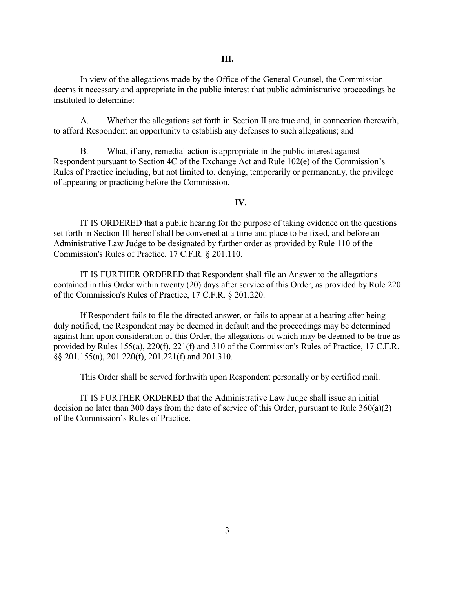In view of the allegations made by the Office of the General Counsel, the Commission deems it necessary and appropriate in the public interest that public administrative proceedings be instituted to determine:

A. Whether the allegations set forth in Section II are true and, in connection therewith, to afford Respondent an opportunity to establish any defenses to such allegations; and

B. What, if any, remedial action is appropriate in the public interest against Respondent pursuant to Section 4C of the Exchange Act and Rule 102(e) of the Commission's Rules of Practice including, but not limited to, denying, temporarily or permanently, the privilege of appearing or practicing before the Commission.

#### **IV.**

IT IS ORDERED that a public hearing for the purpose of taking evidence on the questions set forth in Section III hereof shall be convened at a time and place to be fixed, and before an Administrative Law Judge to be designated by further order as provided by Rule 110 of the Commission's Rules of Practice, 17 C.F.R. § 201.110.

IT IS FURTHER ORDERED that Respondent shall file an Answer to the allegations contained in this Order within twenty (20) days after service of this Order, as provided by Rule 220 of the Commission's Rules of Practice, 17 C.F.R. § 201.220.

If Respondent fails to file the directed answer, or fails to appear at a hearing after being duly notified, the Respondent may be deemed in default and the proceedings may be determined against him upon consideration of this Order, the allegations of which may be deemed to be true as provided by Rules 155(a), 220(f), 221(f) and 310 of the Commission's Rules of Practice, 17 C.F.R. §§ 201.155(a), 201.220(f), 201.221(f) and 201.310.

This Order shall be served forthwith upon Respondent personally or by certified mail.

IT IS FURTHER ORDERED that the Administrative Law Judge shall issue an initial decision no later than 300 days from the date of service of this Order, pursuant to Rule 360(a)(2) of the Commission's Rules of Practice.